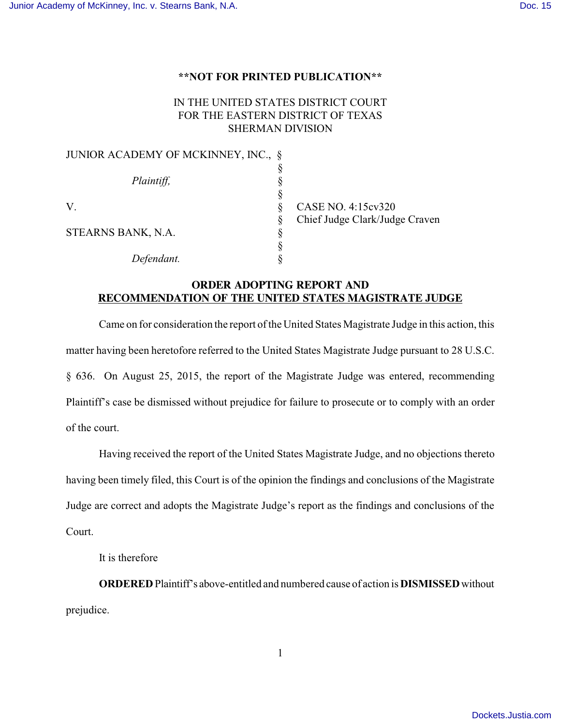## **\*\*NOT FOR PRINTED PUBLICATION\*\***

## IN THE UNITED STATES DISTRICT COURT FOR THE EASTERN DISTRICT OF TEXAS SHERMAN DIVISION

| JUNIOR ACADEMY OF MCKINNEY, INC., § |   |                                |
|-------------------------------------|---|--------------------------------|
|                                     |   |                                |
| Plaintiff,                          |   |                                |
|                                     |   |                                |
| V.                                  |   | CASE NO. 4:15cv320             |
|                                     | Ò | Chief Judge Clark/Judge Craven |
| STEARNS BANK, N.A.                  |   |                                |
|                                     |   |                                |
| Defendant.                          |   |                                |

## **ORDER ADOPTING REPORT AND RECOMMENDATION OF THE UNITED STATES MAGISTRATE JUDGE**

Came on for consideration the report of the United States Magistrate Judge in this action, this matter having been heretofore referred to the United States Magistrate Judge pursuant to 28 U.S.C. § 636. On August 25, 2015, the report of the Magistrate Judge was entered, recommending Plaintiff's case be dismissed without prejudice for failure to prosecute or to comply with an order of the court.

Having received the report of the United States Magistrate Judge, and no objections thereto having been timely filed, this Court is of the opinion the findings and conclusions of the Magistrate Judge are correct and adopts the Magistrate Judge's report as the findings and conclusions of the Court.

It is therefore

**ORDERED** Plaintiff's above-entitled and numbered cause of action is **DISMISSED** without prejudice.